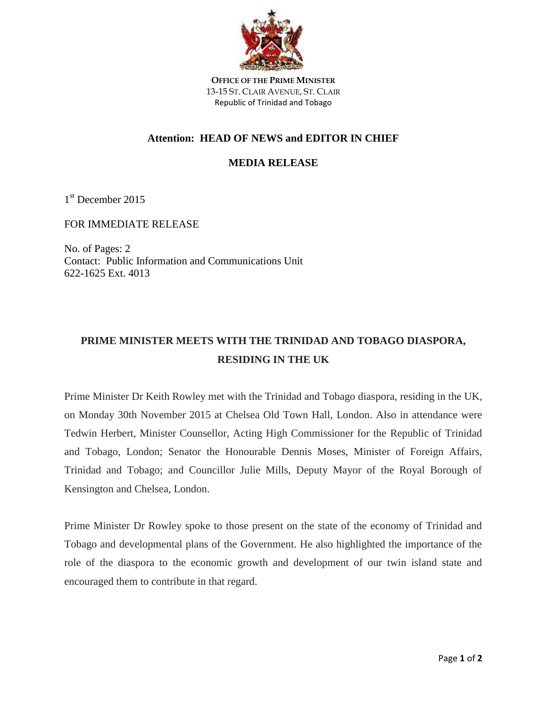

**OFFICE OF THE PRIME MINISTER** 13-15 ST. CLAIR AVENUE, ST. CLAIR Republic of Trinidad and Tobago

## **Attention: HEAD OF NEWS and EDITOR IN CHIEF**

## **MEDIA RELEASE**

1 st December 2015

FOR IMMEDIATE RELEASE

No. of Pages: 2 Contact: Public Information and Communications Unit 622-1625 Ext. 4013

## **PRIME MINISTER MEETS WITH THE TRINIDAD AND TOBAGO DIASPORA, RESIDING IN THE UK**

Prime Minister Dr Keith Rowley met with the Trinidad and Tobago diaspora, residing in the UK, on Monday 30th November 2015 at Chelsea Old Town Hall, London. Also in attendance were Tedwin Herbert, Minister Counsellor, Acting High Commissioner for the Republic of Trinidad and Tobago, London; Senator the Honourable Dennis Moses, Minister of Foreign Affairs, Trinidad and Tobago; and Councillor Julie Mills, Deputy Mayor of the Royal Borough of Kensington and Chelsea, London.

Prime Minister Dr Rowley spoke to those present on the state of the economy of Trinidad and Tobago and developmental plans of the Government. He also highlighted the importance of the role of the diaspora to the economic growth and development of our twin island state and encouraged them to contribute in that regard.